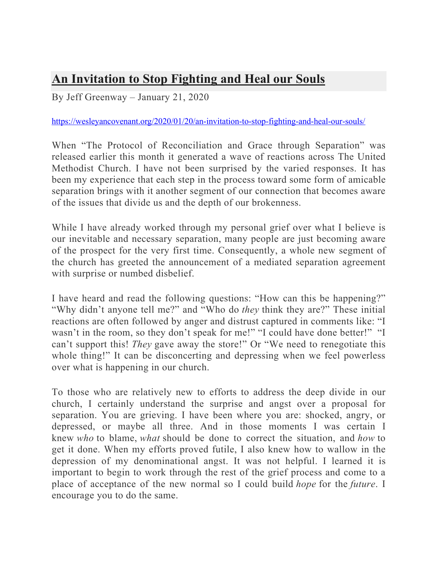## **An Invitation to Stop Fighting and Heal our Souls**

By Jeff Greenway – January 21, 2020

https://wesleyancovenant.org/2020/01/20/an-invitation-to-stop-fighting-and-heal-our-souls/

When "The Protocol of Reconciliation and Grace through Separation" was released earlier this month it generated a wave of reactions across The United Methodist Church. I have not been surprised by the varied responses. It has been my experience that each step in the process toward some form of amicable separation brings with it another segment of our connection that becomes aware of the issues that divide us and the depth of our brokenness.

While I have already worked through my personal grief over what I believe is our inevitable and necessary separation, many people are just becoming aware of the prospect for the very first time. Consequently, a whole new segment of the church has greeted the announcement of a mediated separation agreement with surprise or numbed disbelief.

I have heard and read the following questions: "How can this be happening?" "Why didn't anyone tell me?" and "Who do *they* think they are?" These initial reactions are often followed by anger and distrust captured in comments like: "I wasn't in the room, so they don't speak for me!" "I could have done better!" "I can't support this! *They* gave away the store!" Or "We need to renegotiate this whole thing!" It can be disconcerting and depressing when we feel powerless over what is happening in our church.

To those who are relatively new to efforts to address the deep divide in our church, I certainly understand the surprise and angst over a proposal for separation. You are grieving. I have been where you are: shocked, angry, or depressed, or maybe all three. And in those moments I was certain I knew *who* to blame, *what* should be done to correct the situation, and *how* to get it done. When my efforts proved futile, I also knew how to wallow in the depression of my denominational angst. It was not helpful. I learned it is important to begin to work through the rest of the grief process and come to a place of acceptance of the new normal so I could build *hope* for the *future*. I encourage you to do the same.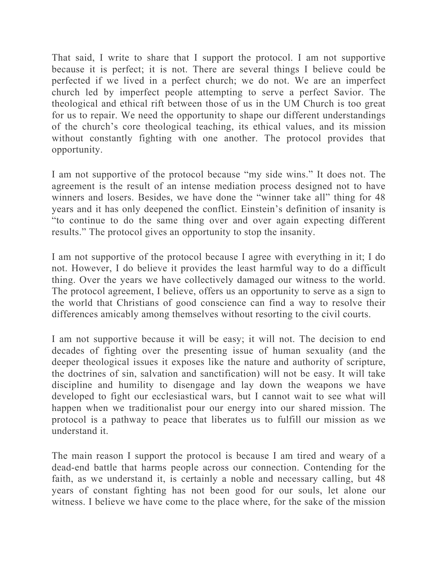That said, I write to share that I support the protocol. I am not supportive because it is perfect; it is not. There are several things I believe could be perfected if we lived in a perfect church; we do not. We are an imperfect church led by imperfect people attempting to serve a perfect Savior. The theological and ethical rift between those of us in the UM Church is too great for us to repair. We need the opportunity to shape our different understandings of the church's core theological teaching, its ethical values, and its mission without constantly fighting with one another. The protocol provides that opportunity.

I am not supportive of the protocol because "my side wins." It does not. The agreement is the result of an intense mediation process designed not to have winners and losers. Besides, we have done the "winner take all" thing for 48 years and it has only deepened the conflict. Einstein's definition of insanity is "to continue to do the same thing over and over again expecting different results." The protocol gives an opportunity to stop the insanity.

I am not supportive of the protocol because I agree with everything in it; I do not. However, I do believe it provides the least harmful way to do a difficult thing. Over the years we have collectively damaged our witness to the world. The protocol agreement, I believe, offers us an opportunity to serve as a sign to the world that Christians of good conscience can find a way to resolve their differences amicably among themselves without resorting to the civil courts.

I am not supportive because it will be easy; it will not. The decision to end decades of fighting over the presenting issue of human sexuality (and the deeper theological issues it exposes like the nature and authority of scripture, the doctrines of sin, salvation and sanctification) will not be easy. It will take discipline and humility to disengage and lay down the weapons we have developed to fight our ecclesiastical wars, but I cannot wait to see what will happen when we traditionalist pour our energy into our shared mission. The protocol is a pathway to peace that liberates us to fulfill our mission as we understand it.

The main reason I support the protocol is because I am tired and weary of a dead-end battle that harms people across our connection. Contending for the faith, as we understand it, is certainly a noble and necessary calling, but 48 years of constant fighting has not been good for our souls, let alone our witness. I believe we have come to the place where, for the sake of the mission